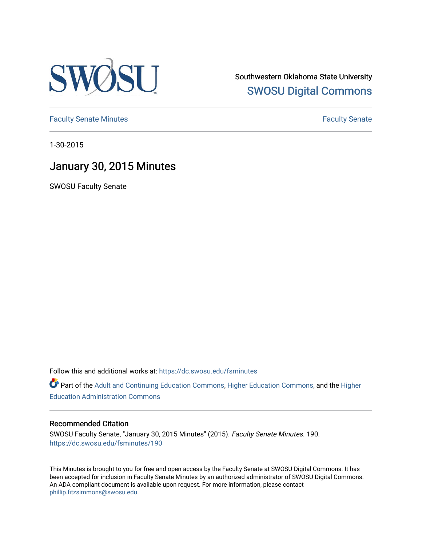

Southwestern Oklahoma State University [SWOSU Digital Commons](https://dc.swosu.edu/) 

[Faculty Senate Minutes](https://dc.swosu.edu/fsminutes) **Faculty** Senate Minutes

1-30-2015

# January 30, 2015 Minutes

SWOSU Faculty Senate

Follow this and additional works at: [https://dc.swosu.edu/fsminutes](https://dc.swosu.edu/fsminutes?utm_source=dc.swosu.edu%2Ffsminutes%2F190&utm_medium=PDF&utm_campaign=PDFCoverPages) 

Part of the [Adult and Continuing Education Commons,](http://network.bepress.com/hgg/discipline/1375?utm_source=dc.swosu.edu%2Ffsminutes%2F190&utm_medium=PDF&utm_campaign=PDFCoverPages) [Higher Education Commons,](http://network.bepress.com/hgg/discipline/1245?utm_source=dc.swosu.edu%2Ffsminutes%2F190&utm_medium=PDF&utm_campaign=PDFCoverPages) and the [Higher](http://network.bepress.com/hgg/discipline/791?utm_source=dc.swosu.edu%2Ffsminutes%2F190&utm_medium=PDF&utm_campaign=PDFCoverPages) [Education Administration Commons](http://network.bepress.com/hgg/discipline/791?utm_source=dc.swosu.edu%2Ffsminutes%2F190&utm_medium=PDF&utm_campaign=PDFCoverPages) 

#### Recommended Citation

SWOSU Faculty Senate, "January 30, 2015 Minutes" (2015). Faculty Senate Minutes. 190. [https://dc.swosu.edu/fsminutes/190](https://dc.swosu.edu/fsminutes/190?utm_source=dc.swosu.edu%2Ffsminutes%2F190&utm_medium=PDF&utm_campaign=PDFCoverPages) 

This Minutes is brought to you for free and open access by the Faculty Senate at SWOSU Digital Commons. It has been accepted for inclusion in Faculty Senate Minutes by an authorized administrator of SWOSU Digital Commons. An ADA compliant document is available upon request. For more information, please contact [phillip.fitzsimmons@swosu.edu](mailto:phillip.fitzsimmons@swosu.edu).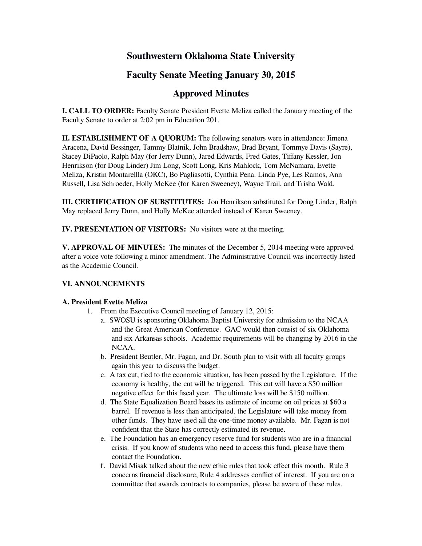# **Southwestern Oklahoma State University**

# **Faculty Senate Meeting January 30, 2015**

# **Approved Minutes**

**I. CALL TO ORDER:** Faculty Senate President Evette Meliza called the January meeting of the Faculty Senate to order at 2:02 pm in Education 201.

**II. ESTABLISHMENT OF A QUORUM:** The following senators were in attendance: Jimena Aracena, David Bessinger, Tammy Blatnik, John Bradshaw, Brad Bryant, Tommye Davis (Sayre), Stacey DiPaolo, Ralph May (for Jerry Dunn), Jared Edwards, Fred Gates, Tiffany Kessler, Jon Henrikson (for Doug Linder) Jim Long, Scott Long, Kris Mahlock, Tom McNamara, Evette Meliza, Kristin Montarellla (OKC), Bo Pagliasotti, Cynthia Pena. Linda Pye, Les Ramos, Ann Russell, Lisa Schroeder, Holly McKee (for Karen Sweeney), Wayne Trail, and Trisha Wald.

**III. CERTIFICATION OF SUBSTITUTES:** Jon Henrikson substituted for Doug Linder, Ralph May replaced Jerry Dunn, and Holly McKee attended instead of Karen Sweeney.

**IV. PRESENTATION OF VISITORS:** No visitors were at the meeting.

**V. APPROVAL OF MINUTES:** The minutes of the December 5, 2014 meeting were approved after a voice vote following a minor amendment. The Administrative Council was incorrectly listed as the Academic Council.

#### **VI. ANNOUNCEMENTS**

#### **A. President Evette Meliza**

- 1. From the Executive Council meeting of January 12, 2015:
	- a. SWOSU is sponsoring Oklahoma Baptist University for admission to the NCAA and the Great American Conference. GAC would then consist of six Oklahoma and six Arkansas schools. Academic requirements will be changing by 2016 in the NCAA.
	- b. President Beutler, Mr. Fagan, and Dr. South plan to visit with all faculty groups again this year to discuss the budget.
	- c. A tax cut, tied to the economic situation, has been passed by the Legislature. If the economy is healthy, the cut will be triggered. This cut will have a \$50 million negative effect for this fiscal year. The ultimate loss will be \$150 million.
	- d. The State Equalization Board bases its estimate of income on oil prices at \$60 a barrel. If revenue is less than anticipated, the Legislature will take money from other funds. They have used all the one-time money available. Mr. Fagan is not confident that the State has correctly estimated its revenue.
	- e. The Foundation has an emergency reserve fund for students who are in a financial crisis. If you know of students who need to access this fund, please have them contact the Foundation.
	- f. David Misak talked about the new ethic rules that took effect this month. Rule 3 concerns financial disclosure, Rule 4 addresses conflict of interest. If you are on a committee that awards contracts to companies, please be aware of these rules.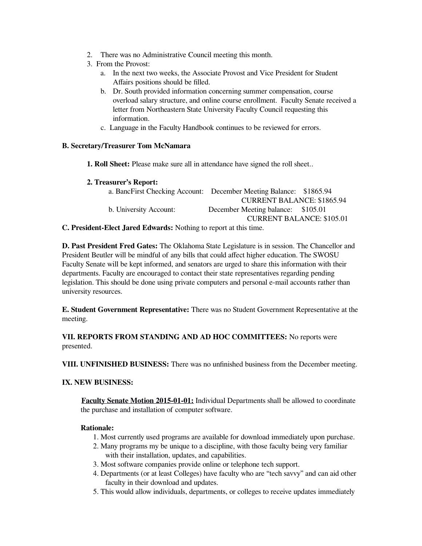- 2. There was no Administrative Council meeting this month.
- 3. From the Provost:
	- a. In the next two weeks, the Associate Provost and Vice President for Student Affairs positions should be filled.
	- b. Dr. South provided information concerning summer compensation, course overload salary structure, and online course enrollment. Faculty Senate received a letter from Northeastern State University Faculty Council requesting this information.
	- c. Language in the Faculty Handbook continues to be reviewed for errors.

### **B. Secretary/Treasurer Tom McNamara**

- **1. Roll Sheet:** Please make sure all in attendance have signed the roll sheet..
- **2. Treasurer's Report:**

| a. BancFirst Checking Account: December Meeting Balance: \$1865.94 |                                    |  |
|--------------------------------------------------------------------|------------------------------------|--|
|                                                                    | <b>CURRENT BALANCE: \$1865.94</b>  |  |
| b. University Account:                                             | December Meeting balance: \$105.01 |  |
|                                                                    | <b>CURRENT BALANCE: \$105.01</b>   |  |

**C. President-Elect Jared Edwards:** Nothing to report at this time.

**D. Past President Fred Gates:** The Oklahoma State Legislature is in session. The Chancellor and President Beutler will be mindful of any bills that could affect higher education. The SWOSU Faculty Senate will be kept informed, and senators are urged to share this information with their departments. Faculty are encouraged to contact their state representatives regarding pending legislation. This should be done using private computers and personal e-mail accounts rather than university resources.

**E. Student Government Representative:** There was no Student Government Representative at the meeting.

## **VII. REPORTS FROM STANDING AND AD HOC COMMITTEES:** No reports were presented.

**VIII. UNFINISHED BUSINESS:** There was no unfinished business from the December meeting.

## **IX. NEW BUSINESS:**

**Faculty Senate Motion 2015-01-01:** Individual Departments shall be allowed to coordinate the purchase and installation of computer software.

## **Rationale:**

- 1. Most currently used programs are available for download immediately upon purchase.
- 2. Many programs my be unique to a discipline, with those faculty being very familiar with their installation, updates, and capabilities.
- 3. Most software companies provide online or telephone tech support.
- 4. Departments (or at least Colleges) have faculty who are "tech savvy" and can aid other faculty in their download and updates.
- 5. This would allow individuals, departments, or colleges to receive updates immediately